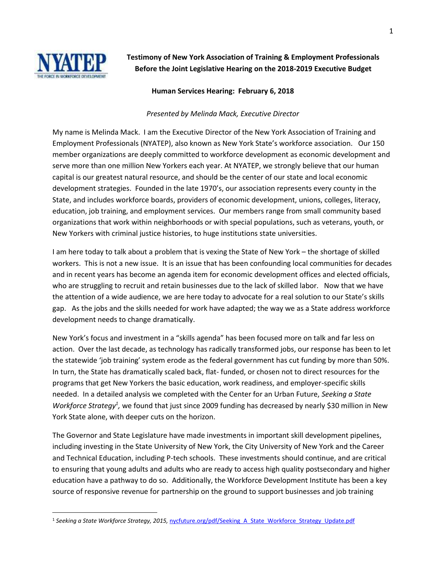

 $\overline{a}$ 

**Testimony of New York Association of Training & Employment Professionals Before the Joint Legislative Hearing on the 2018-2019 Executive Budget**

## **Human Services Hearing: February 6, 2018**

## *Presented by Melinda Mack, Executive Director*

My name is Melinda Mack. I am the Executive Director of the New York Association of Training and Employment Professionals (NYATEP), also known as New York State's workforce association. Our 150 member organizations are deeply committed to workforce development as economic development and serve more than one million New Yorkers each year. At NYATEP, we strongly believe that our human capital is our greatest natural resource, and should be the center of our state and local economic development strategies. Founded in the late 1970's, our association represents every county in the State, and includes workforce boards, providers of economic development, unions, colleges, literacy, education, job training, and employment services. Our members range from small community based organizations that work within neighborhoods or with special populations, such as veterans, youth, or New Yorkers with criminal justice histories, to huge institutions state universities.

I am here today to talk about a problem that is vexing the State of New York – the shortage of skilled workers. This is not a new issue. It is an issue that has been confounding local communities for decades and in recent years has become an agenda item for economic development offices and elected officials, who are struggling to recruit and retain businesses due to the lack of skilled labor. Now that we have the attention of a wide audience, we are here today to advocate for a real solution to our State's skills gap. As the jobs and the skills needed for work have adapted; the way we as a State address workforce development needs to change dramatically.

New York's focus and investment in a "skills agenda" has been focused more on talk and far less on action. Over the last decade, as technology has radically transformed jobs, our response has been to let the statewide 'job training' system erode as the federal government has cut funding by more than 50%. In turn, the State has dramatically scaled back, flat- funded, or chosen not to direct resources for the programs that get New Yorkers the basic education, work readiness, and employer-specific skills needed. In a detailed analysis we completed with the Center for an Urban Future, *Seeking a State*  Workforce Strategy<sup>1</sup>, we found that just since 2009 funding has decreased by nearly \$30 million in New York State alone, with deeper cuts on the horizon.

The Governor and State Legislature have made investments in important skill development pipelines, including investing in the State University of New York, the City University of New York and the Career and Technical Education, including P-tech schools. These investments should continue, and are critical to ensuring that young adults and adults who are ready to access high quality postsecondary and higher education have a pathway to do so. Additionally, the Workforce Development Institute has been a key source of responsive revenue for partnership on the ground to support businesses and job training

<sup>&</sup>lt;sup>1</sup> Seeking a State Workforce Strategy, 2015, [nycfuture.org/pdf/Seeking\\_A\\_State\\_Workforce\\_Strategy\\_Update.pdf](https://nycfuture.org/pdf/Seeking_A_State_Workforce_Strategy_Update.pdf)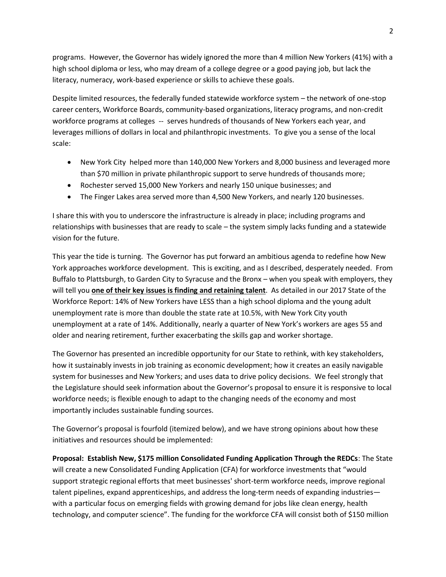programs. However, the Governor has widely ignored the more than 4 million New Yorkers (41%) with a high school diploma or less, who may dream of a college degree or a good paying job, but lack the literacy, numeracy, work-based experience or skills to achieve these goals.

Despite limited resources, the federally funded statewide workforce system – the network of one-stop career centers, Workforce Boards, community-based organizations, literacy programs, and non-credit workforce programs at colleges -- serves hundreds of thousands of New Yorkers each year, and leverages millions of dollars in local and philanthropic investments. To give you a sense of the local scale:

- New York City helped more than 140,000 New Yorkers and 8,000 business and leveraged more than \$70 million in private philanthropic support to serve hundreds of thousands more;
- Rochester served 15,000 New Yorkers and nearly 150 unique businesses; and
- The Finger Lakes area served more than 4,500 New Yorkers, and nearly 120 businesses.

I share this with you to underscore the infrastructure is already in place; including programs and relationships with businesses that are ready to scale – the system simply lacks funding and a statewide vision for the future.

This year the tide is turning. The Governor has put forward an ambitious agenda to redefine how New York approaches workforce development. This is exciting, and as I described, desperately needed. From Buffalo to Plattsburgh, to Garden City to Syracuse and the Bronx – when you speak with employers, they will tell you **one of their key issues is finding and retaining talent**. As detailed in our 2017 State of the Workforce Report: 14% of New Yorkers have LESS than a high school diploma and the young adult unemployment rate is more than double the state rate at 10.5%, with New York City youth unemployment at a rate of 14%. Additionally, nearly a quarter of New York's workers are ages 55 and older and nearing retirement, further exacerbating the skills gap and worker shortage.

The Governor has presented an incredible opportunity for our State to rethink, with key stakeholders, how it sustainably invests in job training as economic development; how it creates an easily navigable system for businesses and New Yorkers; and uses data to drive policy decisions. We feel strongly that the Legislature should seek information about the Governor's proposal to ensure it is responsive to local workforce needs; is flexible enough to adapt to the changing needs of the economy and most importantly includes sustainable funding sources.

The Governor's proposal is fourfold (itemized below), and we have strong opinions about how these initiatives and resources should be implemented:

**Proposal: Establish New, \$175 million Consolidated Funding Application Through the REDCs**: The State will create a new Consolidated Funding Application (CFA) for workforce investments that "would support strategic regional efforts that meet businesses' short-term workforce needs, improve regional talent pipelines, expand apprenticeships, and address the long-term needs of expanding industries with a particular focus on emerging fields with growing demand for jobs like clean energy, health technology, and computer science". The funding for the workforce CFA will consist both of \$150 million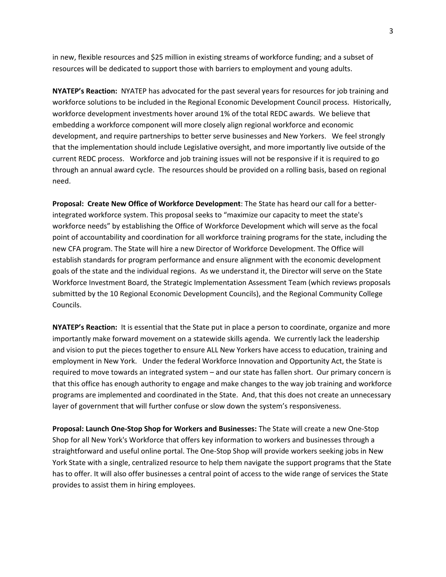in new, flexible resources and \$25 million in existing streams of workforce funding; and a subset of resources will be dedicated to support those with barriers to employment and young adults.

**NYATEP's Reaction:** NYATEP has advocated for the past several years for resources for job training and workforce solutions to be included in the Regional Economic Development Council process. Historically, workforce development investments hover around 1% of the total REDC awards. We believe that embedding a workforce component will more closely align regional workforce and economic development, and require partnerships to better serve businesses and New Yorkers. We feel strongly that the implementation should include Legislative oversight, and more importantly live outside of the current REDC process. Workforce and job training issues will not be responsive if it is required to go through an annual award cycle. The resources should be provided on a rolling basis, based on regional need.

**Proposal: Create New Office of Workforce Development**: The State has heard our call for a betterintegrated workforce system. This proposal seeks to "maximize our capacity to meet the state's workforce needs" by establishing the Office of Workforce Development which will serve as the focal point of accountability and coordination for all workforce training programs for the state, including the new CFA program. The State will hire a new Director of Workforce Development. The Office will establish standards for program performance and ensure alignment with the economic development goals of the state and the individual regions. As we understand it, the Director will serve on the State Workforce Investment Board, the Strategic Implementation Assessment Team (which reviews proposals submitted by the 10 Regional Economic Development Councils), and the Regional Community College Councils.

**NYATEP's Reaction:** It is essential that the State put in place a person to coordinate, organize and more importantly make forward movement on a statewide skills agenda. We currently lack the leadership and vision to put the pieces together to ensure ALL New Yorkers have access to education, training and employment in New York. Under the federal Workforce Innovation and Opportunity Act, the State is required to move towards an integrated system – and our state has fallen short. Our primary concern is that this office has enough authority to engage and make changes to the way job training and workforce programs are implemented and coordinated in the State. And, that this does not create an unnecessary layer of government that will further confuse or slow down the system's responsiveness.

**Proposal: Launch One-Stop Shop for Workers and Businesses:** The State will create a new One-Stop Shop for all New York's Workforce that offers key information to workers and businesses through a straightforward and useful online portal. The One-Stop Shop will provide workers seeking jobs in New York State with a single, centralized resource to help them navigate the support programs that the State has to offer. It will also offer businesses a central point of access to the wide range of services the State provides to assist them in hiring employees.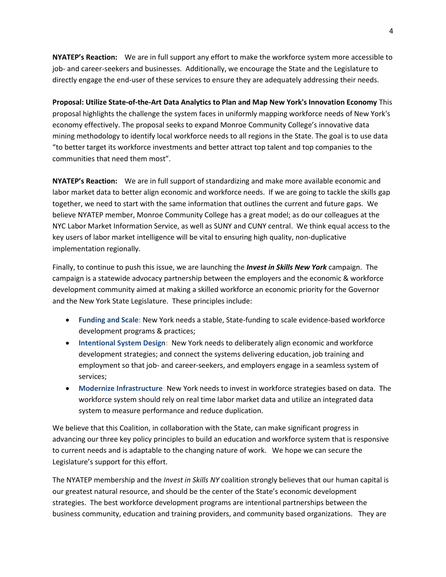**NYATEP's Reaction:** We are in full support any effort to make the workforce system more accessible to job- and career-seekers and businesses. Additionally, we encourage the State and the Legislature to directly engage the end-user of these services to ensure they are adequately addressing their needs.

**Proposal: Utilize State-of-the-Art Data Analytics to Plan and Map New York's Innovation Economy** This proposal highlights the challenge the system faces in uniformly mapping workforce needs of New York's economy effectively. The proposal seeks to expand Monroe Community College's innovative data mining methodology to identify local workforce needs to all regions in the State. The goal is to use data "to better target its workforce investments and better attract top talent and top companies to the communities that need them most".

**NYATEP's Reaction:** We are in full support of standardizing and make more available economic and labor market data to better align economic and workforce needs. If we are going to tackle the skills gap together, we need to start with the same information that outlines the current and future gaps. We believe NYATEP member, Monroe Community College has a great model; as do our colleagues at the NYC Labor Market Information Service, as well as SUNY and CUNY central. We think equal access to the key users of labor market intelligence will be vital to ensuring high quality, non-duplicative implementation regionally.

Finally, to continue to push this issue, we are launching the *Invest in Skills New York* campaign. The campaign is a statewide advocacy partnership between the employers and the economic & workforce development community aimed at making a skilled workforce an economic priority for the Governor and the New York State Legislature. These principles include:

- **Funding and Scale**: New York needs a stable, State-funding to scale evidence-based workforce development programs & practices;
- **Intentional System Design:** New York needs to deliberately align economic and workforce development strategies; and connect the systems delivering education, job training and employment so that job- and career-seekers, and employers engage in a seamless system of services;
- **Modernize Infrastructure**: New York needs to invest in workforce strategies based on data. The workforce system should rely on real time labor market data and utilize an integrated data system to measure performance and reduce duplication.

We believe that this Coalition, in collaboration with the State, can make significant progress in advancing our three key policy principles to build an education and workforce system that is responsive to current needs and is adaptable to the changing nature of work. We hope we can secure the Legislature's support for this effort.

The NYATEP membership and the *Invest in Skills NY* coalition strongly believes that our human capital is our greatest natural resource, and should be the center of the State's economic development strategies. The best workforce development programs are intentional partnerships between the business community, education and training providers, and community based organizations. They are